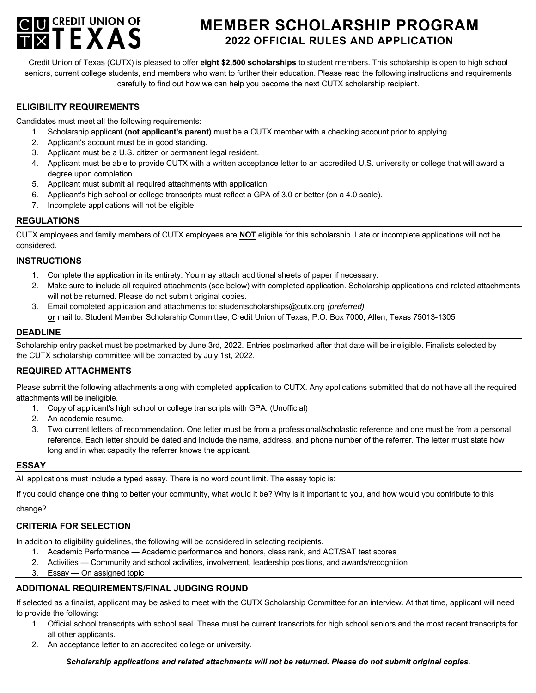

# **MEMBER SCHOLARSHIP PROGRAM 2022 OFFICIAL RULES AND APPLICATION**

Credit Union of Texas (CUTX) is pleased to offer **eight \$2,500 scholarships** to student members. This scholarship is open to high school seniors, current college students, and members who want to further their education. Please read the following instructions and requirements carefully to find out how we can help you become the next CUTX scholarship recipient.

#### **ELIGIBILITY REQUIREMENTS**

Candidates must meet all the following requirements:

- 1. Scholarship applicant **(not applicant's parent)** must be a CUTX member with a checking account prior to applying.
- 2. Applicant's account must be in good standing.
- 3. Applicant must be a U.S. citizen or permanent legal resident.
- 4. Applicant must be able to provide CUTX with a written acceptance letter to an accredited U.S. university or college that will award a degree upon completion.
- 5. Applicant must submit all required attachments with application.
- 6. Applicant's high school or college transcripts must reflect a GPA of 3.0 or better (on a 4.0 scale).
- 7. Incomplete applications will not be eligible.

### **REGULATIONS**

CUTX employees and family members of CUTX employees are **NOT** eligible for this scholarship. Late or incomplete applications will not be considered.

#### **INSTRUCTIONS**

- 1. Complete the application in its entirety. You may attach additional sheets of paper if necessary.
- 2. Make sure to include all required attachments (see below) with completed application. Scholarship applications and related attachments will not be returned. Please do not submit original copies.
- 3. Email completed application and attachments to: studentscholarships@cutx.org *(preferred)* **or** mail to: Student Member Scholarship Committee, Credit Union of Texas, P.O. Box 7000, Allen, Texas 75013-1305

#### **DEADLINE**

Scholarship entry packet must be postmarked by June 3rd, 2022. Entries postmarked after that date will be ineligible. Finalists selected by the CUTX scholarship committee will be contacted by July 1st, 2022.

## **REQUIRED ATTACHMENTS**

Please submit the following attachments along with completed application to CUTX. Any applications submitted that do not have all the required attachments will be ineligible.

- 1. Copy of applicant's high school or college transcripts with GPA. (Unofficial)
- 2. An academic resume.
- 3. Two current letters of recommendation. One letter must be from a professional/scholastic reference and one must be from a personal reference. Each letter should be dated and include the name, address, and phone number of the referrer. The letter must state how long and in what capacity the referrer knows the applicant.

#### **ESSAY**

All applications must include a typed essay. There is no word count limit. The essay topic is:

If you could change one thing to better your community, what would it be? Why is it important to you, and how would you contribute to this

change?

#### **CRITERIA FOR SELECTION**

In addition to eligibility guidelines, the following will be considered in selecting recipients.

- 1. Academic Performance Academic performance and honors, class rank, and ACT/SAT test scores
- 2. Activities Community and school activities, involvement, leadership positions, and awards/recognition
- 3. Essay On assigned topic

# **ADDITIONAL REQUIREMENTS/FINAL JUDGING ROUND**

If selected as a finalist, applicant may be asked to meet with the CUTX Scholarship Committee for an interview. At that time, applicant will need to provide the following:

- 1. Official school transcripts with school seal. These must be current transcripts for high school seniors and the most recent transcripts for all other applicants.
- 2. An acceptance letter to an accredited college or university.

*Scholarship applications and related attachments will not be returned. Please do not submit original copies.*